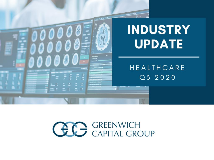

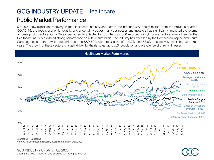# GCG INDUSTRY UPDATE | Healthcare Public Market Performance

Q3 2020 saw significant recovery in the Healthcare industry and across the broader U.S. equity market from the previous quarter. COVID-19, the recent economic volatility and uncertainty across many businesses and investors has significantly impacted the returns of these public sectors. On a 3-year period ending September 30, the S&P 500 returned 29.4%. Some sectors, over others, in the Healthcare industry exhibited strong performance on a 12-month basis. The industry has been led by the Homecare/Hospice and Acute Care segments, both of which outperformed the S&P 500, with stock gains of 140.7% and 53.6%, respectively, over the past three years. The growth of these sectors is largely driven by the rising geriatric U.S. population and prevalence of chronic illnesses.



Note: All values based on publicly available data as of 9/30/2020

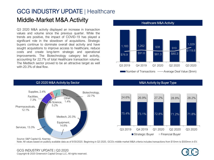### GCG INDUSTRY UPDATE | Healthcare Middle-Market M&A Activity

Q3 2020 M&A activity displayed an increase in transaction values and volume since the previous quarter. While the trends are positive, the impact of COVID-19 has played a significant role in the slowdown of acquisitions. Strategic buyers continue to dominate overall deal activity and have sought acquisitions to improve access to healthcare, reduce costs and create long-term strategic and operational improvements. The Biotechnology category led activity, accounting for 22.7% of total Healthcare transaction volume. The Medtech sector proved to be an attractive target as well with 20.3% of deal flow.



#### Healthcare M&A Activity



#### Q3 2020 M&A Activity by Sector Material Control of M&A Activity by Buyer Type



Note: All values based on publicly available data as of 9/30/2020. Beginning in Q3 2020, GCG's middle market M&A criteria includes transactions from \$10mm to \$500mm in EV.

#### GCG INDUSTRY UPDATE | Q3 2020 Copyright © 2020 Greenwich Capital Group LLC, All rights reserved.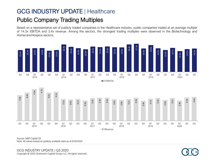# GCG INDUSTRY UPDATE | Healthcare Public Company Trading Multiples

Based on a representative set of publicly traded companies in the Healthcare industry, public companies traded at an average multiple of 14.3x EBITDA and 3.4x revenue. Among the sectors, the strongest trading multiples were observed in the Biotechnology and Homecare/Hospice sectors.





Source: S&P Capital IQ

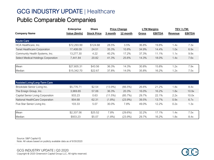|                                     | <b>Enterprise</b> | <b>Share</b>       |         | <b>Price Change</b> |       | <b>LTM Margins</b> | TEV / LTM: |               |
|-------------------------------------|-------------------|--------------------|---------|---------------------|-------|--------------------|------------|---------------|
| <b>Company Name</b>                 | Value (\$mils)    | <b>Stock Price</b> | 3 month | 12 month            | Gross | <b>EBITDA</b>      | Revenue    | <b>EBITDA</b> |
| Acute-Care                          |                   |                    |         |                     |       |                    |            |               |
| HCA Healthcare, Inc.                | \$72,293.99       | \$124.68           | 28.5%   | 3.5%                | 36.8% | 19.8%              | 1.4x       | 7.3x          |
| Tenet Healthcare Corporation        | 17,408.09         | 24.51              | 35.3%   | 10.8%               | 34.9% | 14.4%              | 1.0x       | 6.9x          |
| Community Health Systems, Inc.      | 13,277.30         | 4.22               | 40.2%   | 17.2%               | 37.3% | 11.1%              | 1.1x       | 9.9x          |
| Select Medical Holdings Corporation | 7,441.84          | 20.82              | 41.3%   | 25.6%               | 14.3% | 18.0%              | 1.4x       | 7.6x          |
|                                     |                   |                    |         |                     |       |                    |            |               |
| Mean                                | \$27,605.31       | \$43.56            | 36.3%   | 14.3%               | 30.8% | 15.8%              | 1.2x       | 7.9x          |
| Median                              | \$15,342.70       | \$22.67            | 37.8%   | 14.0%               | 35.8% | 16.2%              | 1.2x       | 7.5x          |

| Assisted Living/Long-Term Care    |            |         |            |            |       |       |      |       |
|-----------------------------------|------------|---------|------------|------------|-------|-------|------|-------|
| Brookdale Senior Living Inc.      | \$5,776.71 | \$2.54  | $(13.9\%)$ | (66.5%)    | 26.6% | 21.2% | 1.8x | 8.4x  |
| The Ensign Group, Inc.            | 3,969.85   | 57.06   | 36.3%      | 20.3%      | 16.0% | 16.2% | 1.8x | 10.9x |
| Capital Senior Living Corporation | 933.23     | 0.63    | (11.5%)    | (85.7%)    | 29.7% | 22.1% | 2.2x | 10.0x |
| National HealthCare Corporation   | 904.68     | 62.31   | $(1.8\%)$  | $(23.9\%)$ | 39.5% | 13.7% | 0.9x | 6.7x  |
| Five Star Senior Living Inc.      | 103.33     | 5.07    | 30.0%      | 7.8%       | 49.0% | 12.2% | 0.2x | 1.3x  |
| Mean                              | \$2,337.56 | \$25.52 | 7.8%       | $(29.6\%)$ | 32.2% | 17.1% | 1.4x | 7.5x  |
| Median                            | \$933.23   | \$5.07  | $(1.8\%)$  | (23.9%)    | 29.7% | 16.2% | 1.8x | 8.4x  |

Source: S&P Capital IQ Note: All values based on publicly available data as of 9/30/2020

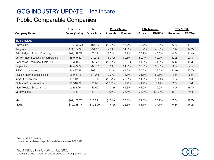|                                     | <b>Enterprise</b> | <b>Share</b>       |            | <b>Price Change</b> |       | <b>LTM Margins</b> | TEV / LTM: |               |
|-------------------------------------|-------------------|--------------------|------------|---------------------|-------|--------------------|------------|---------------|
| <b>Company Name</b>                 | Value (\$mils)    | <b>Stock Price</b> | 3 month    | 12 month            | Gross | <b>EBITDA</b>      | Revenue    | <b>EBITDA</b> |
| <b>Biotechnology</b>                |                   |                    |            |                     |       |                    |            |               |
| AbbVie Inc.                         | \$236,030.74      | \$87.59            | $(10.8\%)$ | 15.7%               | 73.7% | 46.2%              | 6.5x       | 14.1x         |
| Amgen Inc.                          | 171,662.93        | 254.16             | 7.8%       | 31.3%               | 78.2% | 49.9%              | 7.1x       | 14.2x         |
| Bristol-Myers Squibb Company        | 161,149.72        | 60.29              | 2.5%       | 18.9%               | 77.7% | 40.6%              | 4.6x       | 11.4x         |
| Vertex Pharmaceuticals Incorporated | 65,949.67         | 272.12             | $(6.3\%)$  | 60.6%               | 52.4% | 40.9%              | 12.2x      | 29.8x         |
| Regeneron Pharmaceuticals, Inc.     | 55,390.09         | 559.78             | $(10.2\%)$ | 101.8%              | 54.8% | 34.8%              | 6.4x       | 18.3x         |
| Biogen Inc.                         | 47,479.07         | 283.68             | $6.0\%$    | 21.8%               | 88.0% | 56.0%              | 3.3x       | 5.9x          |
| IDEXX Laboratories, Inc.            | 34,437.28         | 393.11             | 19.1%      | 44.6%               | 57.2% | 29.2%              | 13.9x      | 47.7x         |
| Alexion Pharmaceuticals, Inc.       | 25,046.76         | 114.43             | 2.0%       | 16.8%               | 91.6% | 52.6%              | 4.5x       | 8.6x          |
| Incyte Corporation                  | 18,112.28         | 89.74              | (13.7%)    | 20.9%               | 11.9% | $(5.0\%)$          | 7.6x       | NM            |
| BioMarin Pharmaceutical Inc.        | 13,918.22         | 76.08              | (38.3%)    | 12.9%               | 41.9% | 5.9%               | 7.5x       | <b>NM</b>     |
| Merit Medical Systems, Inc.         | 2,864.26          | 43.50              | $(4.7\%)$  | 42.8%               | 41.9% | 15.9%              | 3.0x       | 18.7x         |
| Veracyte, Inc.                      | 1,703.94          | 32.49              | 25.4%      | 35.4%               | 66.2% | (22.3%)            | 15.1x      | <b>NM</b>     |
|                                     |                   |                    |            |                     |       |                    |            |               |
| Mean                                | \$69,478.75       | \$188.91           | $(1.8\%)$  | 35.3%               | 61.3% | 28.7%              | 7.6x       | 18.7x         |
| Median                              | \$40,958.17       | \$102.09           | $(1.4\%)$  | 26.6%               | 61.7% | 37.7%              | 6.8x       | 14.2x         |

Source: S&P Capital IQ Note: All values based on publicly available data as of 9/30/2020

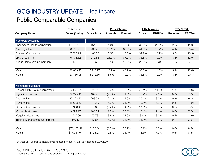|                              | <b>Enterprise</b> | <b>Share</b>       |         | <b>Price Change</b> |       | <b>LTM Margins</b> | TEV / LTM:     |               |
|------------------------------|-------------------|--------------------|---------|---------------------|-------|--------------------|----------------|---------------|
| <b>Company Name</b>          | Value (\$mils)    | <b>Stock Price</b> | 3 month | 12 month            | Gross | <b>EBITDA</b>      | <b>Revenue</b> | <b>EBITDA</b> |
| Home Care/Hospice            |                   |                    |         |                     |       |                    |                |               |
| Encompass Health Corporation | \$10,305.70       | \$64.98            | 4.9%    | 2.7%                | 38.2% | 20.3%              | 2.2x           | 11.0x         |
| Amedisys, Inc.               | 8.065.21          | 236.43             | 19.1%   | 80.5%               | 41.9% | 12.2%              | 4.1x           | 33.4x         |
| <b>Chemed Corporation</b>    | 7,766.95          | 480.35             | 6.5%    | 15.0%               | 31.7% | 18.9%              | 3.8x           | 20.3x         |
| LHC Group, Inc.              | 6,778.62          | 212.56             | 21.9%   | 87.2%               | 36.6% | 10.0%              | 3.3x           | 32.9x         |
| Addus HomeCare Corporation   | 1.400.64          | 94.51              | 2.1%    | 19.2%               | 29.0% | 9.3%               | 1.9x           | 20.4x         |
| Mean                         | \$6,863.42        | \$217.77           | 10.9%   | 40.9%               | 35.5% | 14.2%              | 3.1x           | 23.6x         |
| Median                       | \$7,766.95        | \$212.56           | 6.5%    | 19.2%               | 36.6% | 12.2%              | 3.3x           | 20.4x         |

| Managed Healthcare              |              |          |           |       |       |       |      |       |
|---------------------------------|--------------|----------|-----------|-------|-------|-------|------|-------|
| UnitedHealth Group Incorporated | \$324,749.18 | \$311.77 | 5.7%      | 43.5% | 26.4% | 11.1% | 1.3x | 11.8x |
| Cigna Corporation               | 92,225.46    | 169.41   | $(9.7\%)$ | 11.6% | 16.2% | 7.6%  | 0.6x | 7.8x  |
| Anthem, Inc.                    | 85,122.12    | 268.59   | 2.1%      | 11.9% | 26.4% | 8.3%  | 0.8x | 9.1x  |
| Humana Inc.                     | 55,683.57    | 413.89   | 6.7%      | 61.9% | 19.4% | 7.2%  | 0.8x | 11.0x |
| Centene Corporation             | 38,998.46    | 58.33    | $(8.2\%)$ | 34.8% | 17.5% | 5.8%  | 0.5x | 7.8x  |
| Molina Healthcare, Inc.         | 9,592.27     | 183.04   | 2.8%      | 66.8% | 15.4% | 7.4%  | 0.6x | 7.7x  |
| Magellan Health, Inc.           | 2,517.00     | 75.78    | 3.8%      | 22.0% | 3.4%  | 3.0%  | 0.4x | 11.9x |
| Triple-S Management Corporation | 356.13       | 17.87    | $(6.0\%)$ | 33.4% | 21.1% | 3.0%  | 0.1x | 3.5x  |
|                                 |              |          |           |       |       |       |      |       |
| Mean                            | \$76,155.52  | \$187.34 | $(0.3\%)$ | 35.7% | 18.2% | 6.7%  | 0.6x | 8.8x  |
| Median                          | \$47,341.01  | \$176.23 | 2.5%      | 34.1% | 18.5% | 7.3%  | 0.6x | 8.5x  |

Source: S&P Capital IQ, Note: All values based on publicly available data as of 9/30/2020

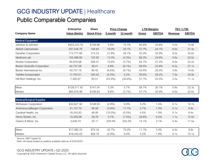|                                      | <b>Enterprise</b> | <b>Share</b>       |            | <b>Price Change</b> |              | <b>LTM Margins</b> | TEV / LTM: |               |
|--------------------------------------|-------------------|--------------------|------------|---------------------|--------------|--------------------|------------|---------------|
| <b>Company Name</b>                  | Value (\$mils)    | <b>Stock Price</b> | 3 month    | 12 month            | <b>Gross</b> | <b>EBITDA</b>      | Revenue    | <b>EBITDA</b> |
| <b>Medical Equipment</b>             |                   |                    |            |                     |              |                    |            |               |
| Johnson & Johnson                    | \$403,233.76      | \$148.88           | 5.9%       | 15.1%               | 65.8%        | 33.8%              | 5.0x       | 14.8x         |
| <b>Abbott Laboratories</b>           | 207,548.78        | 108.83             | 19.0%      | 30.1%               | 57.7%        | 24.1%              | 6.6x       | 27.4x         |
| Danaher Corporation                  | 173,777.80        | 215.33             | 21.8%      | 49.1%               | 55.3%        | 25.9%              | 9.2x       | 35.6x         |
| Medtronic plc                        | 155,486.85        | 103.92             | 13.3%      | $(4.3\%)$           | 66.3%        | 24.6%              | 5.6x       | 22.6x         |
| <b>Stryker Corporation</b>           | 84,978.98         | 208.37             | 15.6%      | (3.7%)              | 64.1%        | 27.2%              | 6.0x       | 22.2x         |
| <b>Boston Scientific Corporation</b> | 62,737.08         | 38.21              | 8.8%       | $(6.1\%)$           | 68.5%        | 22.8%              | 6.2x       | 27.1x         |
| Baxter International Inc.            | 43,737.16         | 80.42              | $(6.6\%)$  | $(8.1\%)$           | 42.6%        | 26.0%              | 3.8x       | 14.8x         |
| Teleflex Incorporated                | 17,763.51         | 340.42             | $(6.5\%)$  | 0.2%                | 56.6%        | 28.2%              | 7.0x       | 24.9x         |
| Hill-Rom Holdings, Inc.              | 7,392.87          | 83.51              | $(23.9\%)$ | $(20.6\%)$          | 51.1%        | 22.5%              | 2.5x       | 11.1x         |
| Mean                                 | \$128,517.42      | \$147.54           | 5.3%       | 5.7%                | 58.7%        | 26.1%              | 5.8x       | 22.3x         |
| Median                               | \$84,978.98       | \$108.83           | 8.8%       | $(3.7\%)$           | 57.7%        | 25.9%              | 6.0x       | 22.6x         |
| Medical/Surgical Supplies            |                   |                    |            |                     |              |                    |            |               |
| <b>McKesson Corporation</b>          | \$32,621.92       | \$148.93           | $(2.9\%)$  | 9.0%                | 5.2%         | 1.4%               | 0.1x       | 10.1x         |
| AmerisourceBergen Corporation        | 21,137.70         | 96.92              | $(3.8\%)$  | 17.7%               | 2.7%         | 1.3%               | 0.1x       | 8.8x          |
| Cardinal Health, Inc.                | 18,242.83         | 46.95              | $(10.0\%)$ | $(0.5\%)$           | 4.5%         | 1.9%               | 0.1x       | 6.4x          |
| Henry Schein, Inc.                   | 10,359.08         | 58.78              | 0.7%       | $(7.4\%)$           | 29.8%        | 9.3%               | 1.1x       | 12.0x         |
| Owens & Minor, Inc.                  | 3,049.70          | 25.11              | 229.5%     | 332.2%              | 13.1%        | 3.1%               | 0.4x       | 11.5x         |
| Mean                                 | \$17,082.24       | \$75.34            | 42.7%      | 70.2%               | 11.1%        | 3.4%               | 0.4x       | 9.8x          |
| Median                               | \$18,242.83       | \$58.78            | (2.9%)     | 9.0%                | 5.2%         | 1.9%               | 0.1x       | 10.1x         |

Source: S&P Capital IQ

Note: All values based on publicly available data as of 9/30/2020

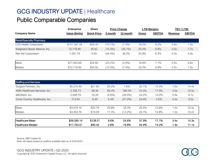|                                  | <b>Enterprise</b> | <b>Share</b>       |            | <b>Price Change</b> | <b>LTM Margins</b> |               | TEV/LTM: |               |
|----------------------------------|-------------------|--------------------|------------|---------------------|--------------------|---------------|----------|---------------|
| <b>Company Name</b>              | Value (\$mils)    | <b>Stock Price</b> | 3 month    | 12 month            | <u>Gross</u>       | <b>EBITDA</b> | Revenue  | <b>EBITDA</b> |
| <b>Retail/Specialty Pharmacy</b> |                   |                    |            |                     |                    |               |          |               |
| CVS Health Corporation           | \$151,347.28      | \$58.40            | $(10.1\%)$ | $(7.4\%)$           | 18.2%              | 8.2%          | 0.6x     | 7.0x          |
| Walgreens Boots Alliance, Inc.   | 72,718.90         | 35.92              | $(15.3\%)$ | $(35.1\%)$          | 20.5%              | 6.8%          | 0.5x     | 7.7x          |
| <b>Rite Aid Corporation</b>      | 7.091.79          | 9.49               | $(44.4\%)$ | 36.5%               | 20.9%              | 6.2%          | 0.3x     | 4.9x          |
| Mean                             | \$77,052.66       | \$34.60            | $(23.2\%)$ | $(2.0\%)$           | 19.8%              | 7.1%          | 0.5x     | 6.6x          |
| Median                           | \$72,718.90       | \$35.92            | $(15.3\%)$ | $(7.4\%)$           | 20.5%              | 6.8%          | 0.5x     | 7.0x          |

| <b>Staffing and Services</b>   |             |          |           |            |       |       |      |       |
|--------------------------------|-------------|----------|-----------|------------|-------|-------|------|-------|
| Surgery Partners, Inc.         | \$5,275.49  | \$21.90  | 29.2%     | 1.6%       | 20.1% | 15.5% | 1.6x | 14.4x |
| AMN Healthcare Services, Inc.  | 3,768.73    | 58.46    | 89.3%     | 196.5%     | 33.3% | 17.0% | 3.0x | 12.5x |
| MEDNAX, Inc.                   | 2,958.79    | 16.28    | $(4.8\%)$ | (28.0%)    | 24.2% | 14.0% | 0.9x | 6.1x  |
| Cross Country Healthcare, Inc. | 313.64      | 6.49     | 5.4%      | $(37.0\%)$ | 24.0% | 4.6%  | 0.4x | 8.0x  |
|                                |             |          |           |            |       |       |      |       |
| Mean                           | \$3,079.16  | \$25.78  | 29.8%     | 33.3%      | 25.4% | 12.8% | 1.4x | 10.2x |
| Median                         | \$3,363.76  | \$19.09  | 17.3%     | $(13.2\%)$ | 24.1% | 14.8% | 1.2x | 10.2x |
|                                |             |          |           |            |       |       |      |       |
| Healthcare Mean                | \$56,090.14 | \$128.51 | 9.6%      | 24.6%      | 37.9% | 17.1% | 3.4x | 14.3x |
| Healthcare Median              | \$17,763.51 | \$80.42  | 2.8%      | 16.8%      | 34.9% | 14.2% | 1.9x | 11.1x |

Source: S&P Capital IQ Note: All values based on publicly available data as of 9/30/2020